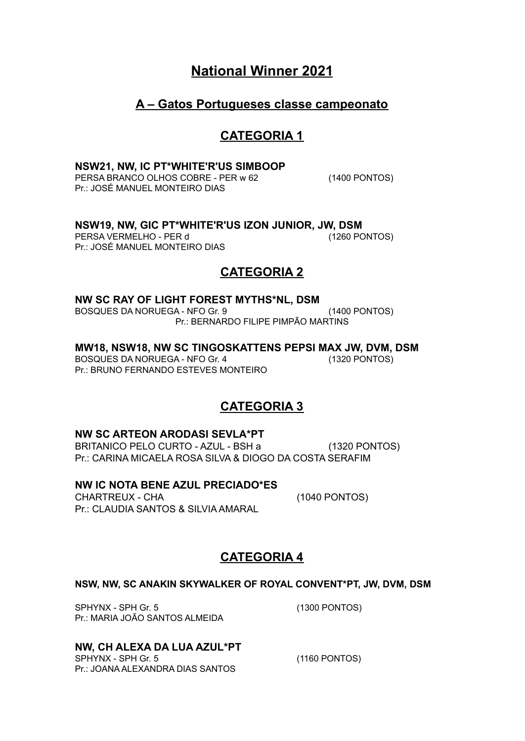# **National Winner 2021**

## **A – Gatos Portugueses classe campeonato**

## **CATEGORIA 1**

### **NSW21, NW, IC PT\*WHITE'R'US SIMBOOP**

PERSA BRANCO OLHOS COBRE - PER w 62 (1400 PONTOS) Pr.: JOSÉ MANUEL MONTEIRO DIAS

### **NSW19, NW, GIC PT\*WHITE'R'US IZON JUNIOR, JW, DSM**

PERSA VERMELHO - PER d
(1260 PONTOS) Pr.: JOSÉ MANUEL MONTEIRO DIAS

## **CATEGORIA 2**

### **NW SC RAY OF LIGHT FOREST MYTHS\*NL, DSM**

BOSQUES DA NORUEGA - NFO Gr. 9 (1400 PONTOS) Pr.: BERNARDO FILIPE PIMPÃO MARTINS

#### **MW18, NSW18, NW SC TINGOSKATTENS PEPSI MAX JW, DVM, DSM**

BOSQUES DA NORUEGA - NFO Gr. 4 (1320 PONTOS) Pr.: BRUNO FERNANDO ESTEVES MONTEIRO

## **CATEGORIA 3**

### **NW SC ARTEON ARODASI SEVLA\*PT**

BRITANICO PELO CURTO - AZUL - BSH a (1320 PONTOS) Pr.: CARINA MICAELA ROSA SILVA & DIOGO DA COSTA SERAFIM

### **NW IC NOTA BENE AZUL PRECIADO\*ES**

CHARTREUX - CHA (1040 PONTOS) Pr.: CLAUDIA SANTOS & SILVIA AMARAL

## **CATEGORIA 4**

### **NSW, NW, SC ANAKIN SKYWALKER OF ROYAL CONVENT\*PT, JW, DVM, DSM**

SPHYNX - SPH Gr. 5 (1300 PONTOS) Pr.: MARIA JOÃO SANTOS ALMEIDA

### **NW, CH ALEXA DA LUA AZUL\*PT**

SPHYNX - SPH Gr. 5 (1160 PONTOS) Pr.: JOANA ALEXANDRA DIAS SANTOS